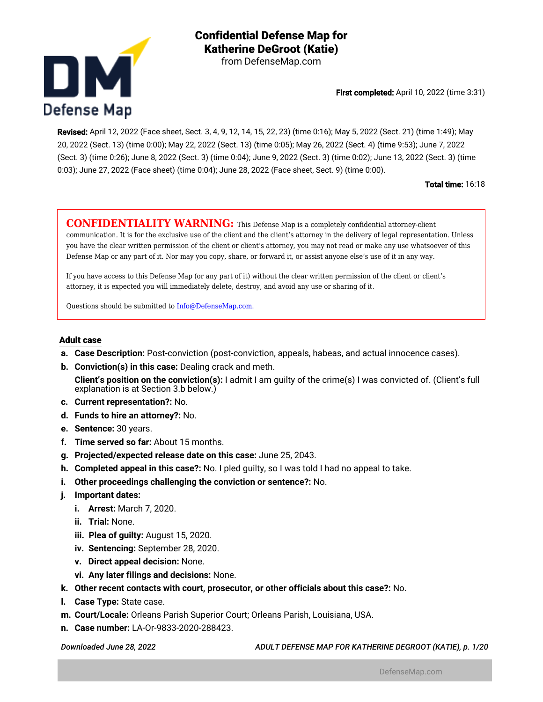

**Confidential Defense Map for Katherine DeGroot (Katie)** from DefenseMap.com

First completed: April 10, 2022 (time 3:31)

Revised: April 12, 2022 (Face sheet, Sect. 3, 4, 9, 12, 14, 15, 22, 23) (time 0:16); May 5, 2022 (Sect. 21) (time 1:49); May 20, 2022 (Sect. 13) (time 0:00); May 22, 2022 (Sect. 13) (time 0:05); May 26, 2022 (Sect. 4) (time 9:53); June 7, 2022 (Sect. 3) (time 0:26); June 8, 2022 (Sect. 3) (time 0:04); June 9, 2022 (Sect. 3) (time 0:02); June 13, 2022 (Sect. 3) (time 0:03); June 27, 2022 (Face sheet) (time 0:04); June 28, 2022 (Face sheet, Sect. 9) (time 0:00).

Total time: 16:18

**CONFIDENTIALITY WARNING:** This Defense Map is a completely confidential attorney-client communication. It is for the exclusive use of the client and the client's attorney in the delivery of legal representation. Unless you have the clear written permission of the client or client's attorney, you may not read or make any use whatsoever of this Defense Map or any part of it. Nor may you copy, share, or forward it, or assist anyone else's use of it in any way.

If you have access to this Defense Map (or any part of it) without the clear written permission of the client or client's attorney, it is expected you will immediately delete, destroy, and avoid any use or sharing of it.

Questions should be submitted to Info@DefenseMap.com.

#### **Adult case**

- **a. Case Description:** Post-conviction (post-conviction, appeals, habeas, and actual innocence cases).
- **b. Conviction(s) in this case:** Dealing crack and meth.
- **Client's position on the conviction(s):** I admit I am guilty of the crime(s) I was convicted of. (Client's full explanation is at Section 3.b below.)
- **c. Current representation?:** No.
- **d. Funds to hire an attorney?:** No.
- **e. Sentence:** 30 years.
- **f. Time served so far:** About 15 months.
- **g. Projected/expected release date on this case:** June 25, 2043.
- **h. Completed appeal in this case?:** No. I pled guilty, so I was told I had no appeal to take.
- **i. Other proceedings challenging the conviction or sentence?:** No.
- **j. Important dates:**
	- **i. Arrest:** March 7, 2020.
	- **ii. Trial:** None.
	- **iii. Plea of guilty:** August 15, 2020.
	- **iv. Sentencing:** September 28, 2020.
	- **v. Direct appeal decision:** None.
	- **vi. Any later filings and decisions:** None.
- **k. Other recent contacts with court, prosecutor, or other officials about this case?:** No.
- **l. Case Type:** State case.
- **m. Court/Locale:** Orleans Parish Superior Court; Orleans Parish, Louisiana, USA.
- **n. Case number:** LA-Or-9833-2020-288423.

*Downloaded June 28, 2022 ADULT DEFENSE MAP FOR KATHERINE DEGROOT (KATIE), p. 1/20*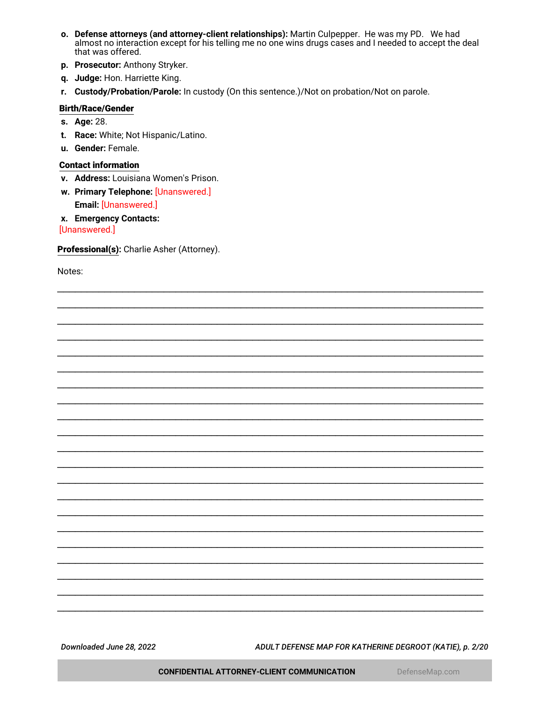- o. Defense attorneys (and attorney-client relationships): Martin Culpepper. He was my PD. We had almost no interaction except for his telling me no one wins drugs cases and I needed to accept the deal that was offered.
- p. Prosecutor: Anthony Stryker.
- q. Judge: Hon. Harriette King.
- r. Custody/Probation/Parole: In custody (On this sentence.)/Not on probation/Not on parole.

#### **Birth/Race/Gender**

- s. Age: 28.
- t. Race: White; Not Hispanic/Latino.
- u. Gender: Female.

#### **Contact information**

- v. Address: Louisiana Women's Prison.
- w. Primary Telephone: [Unanswered.] Email: [Unanswered.]
- x. Emergency Contacts:

[Unanswered.]

Professional(s): Charlie Asher (Attorney).

Notes:

<span id="page-1-0"></span>Downloaded June 28, 2022

ADULT DEFENSE MAP FOR KATHERINE DEGROOT (KATIE), p. 2/20

**CONFIDENTIAL ATTORNEY-CLIENT COMMUNICATION**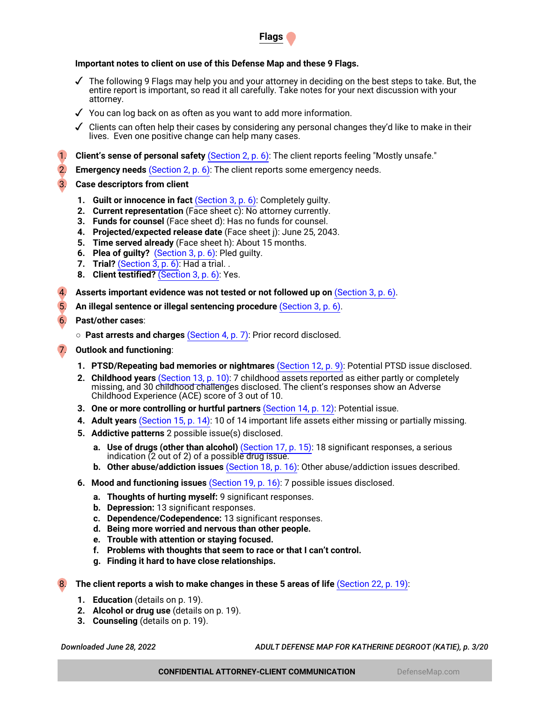

## **Important notes to client on use of this Defense Map and these 9 Flags.**

- $\checkmark$  The following 9 Flags may help you and your attorney in deciding on the best steps to take. But, the entire report is important, so read it all carefully. Take notes for your next discussion with your attorney.
- ✓ You can log back on as often as you want to add more information.
- $\checkmark$  Clients can often help their cases by considering any personal changes they'd like to make in their lives. Even one positive change can help many cases.
- 1. **Client's sense of personal safety** [\(Section 2, p. 6\)](#page-5-0): The client reports feeling "Mostly unsafe."
- 2. **Emergency needs** [\(Section 2, p. 6\):](#page-5-0) The client reports some emergency needs.
- 3. **Case descriptors from client**
	- **1. Guilt or innocence in fact** [\(Section 3, p. 6\):](#page-5-1) Completely guilty.
	- **2. Current representation** (Face sheet c): No attorney currently.
	- **3. Funds for counsel** (Face sheet d): Has no funds for counsel.
	- **4. Projected/expected release date** (Face sheet j): June 25, 2043.
	- **5. Time served already** (Face sheet h): About 15 months.
	- **6. Plea of guilty?** [\(Section 3, p. 6\):](#page-5-1) Pled guilty.
	- **7. Trial?** [\(Section 3, p. 6\):](#page-5-1) Had a trial. .
	- **8. Client testified?** [\(Section 3, p. 6\)](#page-5-1): Yes.
- 4. **Asserts important evidence was not tested or not followed up on** [\(Section 3, p. 6\)](#page-5-1).
- 5. **An illegal sentence or illegal sentencing procedure** [\(Section 3, p. 6\)](#page-5-1).
- 6. **Past/other cases**:
	- **Past arrests and charges** [\(Section 4, p. 7\)](#page-6-0): Prior record disclosed.
- 7. **Outlook and functioning**:
	- **1. PTSD/Repeating bad memories or nightmares** [\(Section 12, p. 9\):](#page-8-0) Potential PTSD issue disclosed.
	- **2. Childhood years** [\(Section 13, p. 10\):](#page-9-0) 7 childhood assets reported as either partly or completely missing, and 30 childhood challenges disclosed. The client's responses show an Adverse Childhood Experience (ACE) score of 3 out of 10.
	- **3. One or more controlling or hurtful partners** [\(Section 14, p. 12\):](#page-11-0) Potential issue.
	- **4. Adult years** [\(Section 15, p. 14\):](#page-13-0) 10 of 14 important life assets either missing or partially missing.
	- **5. Addictive patterns** 2 possible issue(s) disclosed.
		- **a. Use of drugs (other than alcohol)** [\(Section 17, p. 15\)](#page-14-0): 18 significant responses, a serious indication (2 out of 2) of a possible drug issue.
		- **b. Other abuse/addiction issues** [\(Section 18, p. 16\)](#page-15-0): Other abuse/addiction issues described.
	- **6. Mood and functioning issues** [\(Section 19, p. 16\):](#page-15-1) 7 possible issues disclosed.
		- **a. Thoughts of hurting myself:** 9 significant responses.
		- **b. Depression:** 13 significant responses.
		- **c. Dependence/Codependence:** 13 significant responses.
		- **d. Being more worried and nervous than other people.**
		- **e. Trouble with attention or staying focused.**
		- **f. Problems with thoughts that seem to race or that I can't control.**
		- **g. Finding it hard to have close relationships.**
- The client reports a wish to make changes in these 5 areas of life [\(Section 22, p. 19\)](#page-18-0):
	- **1. Education** (details on p. 19).
	- **2. Alcohol or drug use** (details on p. 19).
	- **3. Counseling** (details on p. 19).

*Downloaded June 28, 2022 ADULT DEFENSE MAP FOR KATHERINE DEGROOT (KATIE), p. 3/20*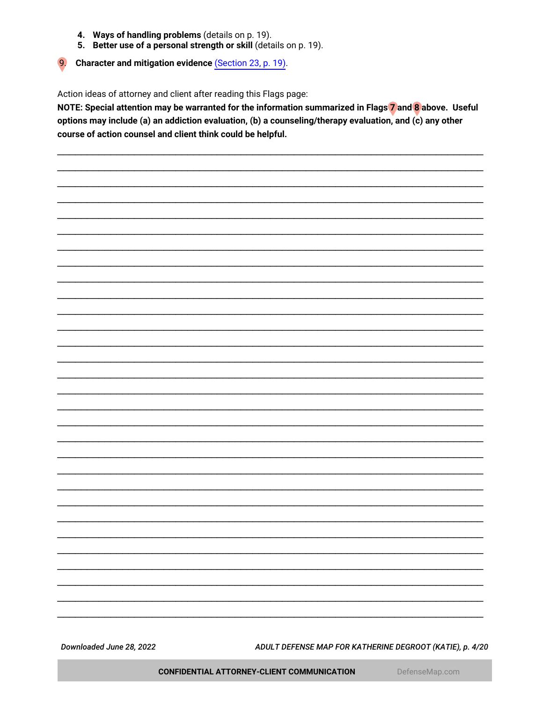- 4. Ways of handling problems (details on p. 19).
- 5. Better use of a personal strength or skill (details on p. 19).

Character and mitigation evidence (Section 23, p. 19).

 $9.$ 

Action ideas of attorney and client after reading this Flags page:

NOTE: Special attention may be warranted for the information summarized in Flags 7 and 8 above. Useful options may include (a) an addiction evaluation, (b) a counseling/therapy evaluation, and (c) any other course of action counsel and client think could be helpful.

Downloaded June 28, 2022

ADULT DEFENSE MAP FOR KATHERINE DEGROOT (KATIE), p. 4/20

CONFIDENTIAL ATTORNEY-CLIENT COMMUNICATION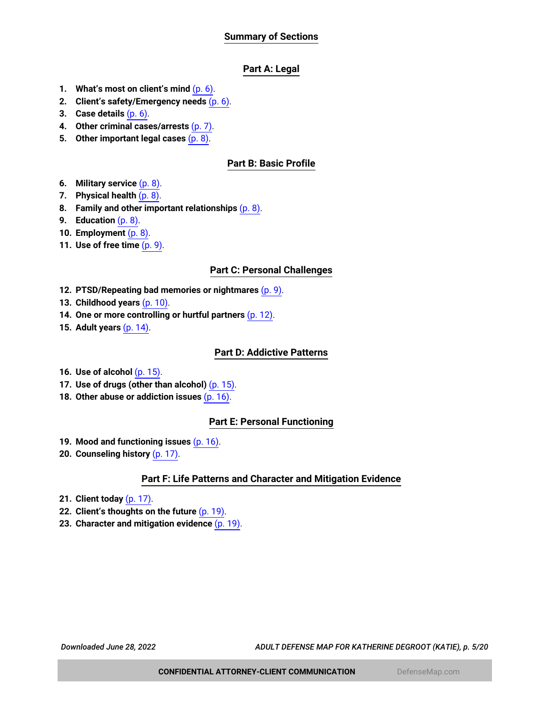# **Summary of Sections**

# **Part A: Legal**

- **1. What's most on client's mind** [\(p. 6\)](#page-5-2).
- **2. Client's safety/Emergency needs** [\(p. 6\).](#page-5-0)
- **3. Case details** [\(p. 6\)](#page-5-1).
- **4. Other criminal cases/arrests** [\(p. 7\)](#page-6-0).
- **5. Other important legal cases** [\(p. 8\)](#page-7-0).

# **Part B: Basic Profile**

- **6. Military service** [\(p. 8\)](#page-7-1).
- **7. Physical health** [\(p. 8\).](#page-7-2)
- **8. Family and other important relationships** [\(p. 8\)](#page-7-3).
- **9. Education** [\(p. 8\).](#page-7-4)
- **10. Employment** [\(p. 8\)](#page-7-5).
- **11. Use of free time** [\(p. 9\).](#page-8-1)

## **Part C: Personal Challenges**

- **12. PTSD/Repeating bad memories or nightmares** [\(p. 9\).](#page-8-0)
- **13. Childhood years** [\(p. 10\)](#page-9-0).
- **14. One or more controlling or hurtful partners** [\(p. 12\).](#page-11-0)
- **15. Adult years** [\(p. 14\).](#page-13-0)

## **Part D: Addictive Patterns**

- **16. Use of alcohol** [\(p. 15\).](#page-14-1)
- **17. Use of drugs (other than alcohol)** [\(p. 15\).](#page-14-0)
- **18. Other abuse or addiction issues** [\(p. 16\).](#page-15-0)

# **Part E: Personal Functioning**

- **19. Mood and functioning issues** [\(p. 16\).](#page-15-1)
- **20. Counseling history** [\(p. 17\).](#page-16-0)

# **Part F: Life Patterns and Character and Mitigation Evidence**

- **21. Client today** [\(p. 17\)](#page-16-1).
- **22. Client's thoughts on the future** [\(p. 19\)](#page-18-0).
- **23. Character and mitigation evidence** [\(p. 19\).](#page-18-1)

*Downloaded June 28, 2022 ADULT DEFENSE MAP FOR KATHERINE DEGROOT (KATIE), p. 5/20*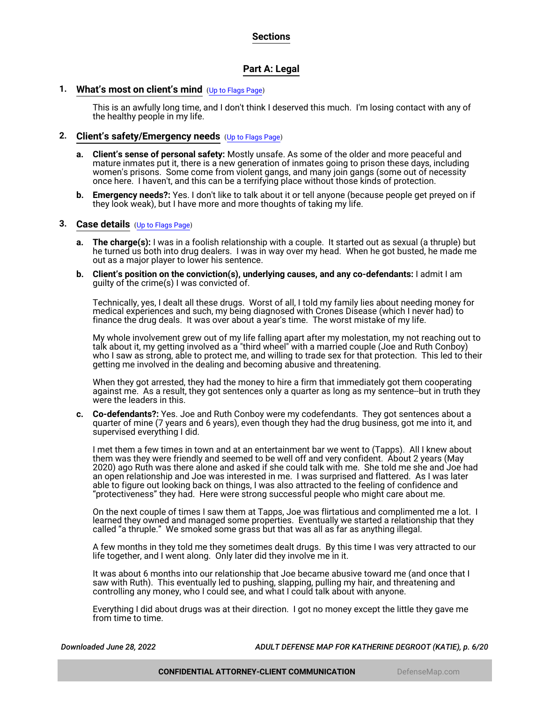# **Sections**

# **Part A: Legal**

## <span id="page-5-2"></span>**1. What's most on client's mind** ([Up to Flags Page](#page-1-0))

This is an awfully long time, and I don't think I deserved this much. I'm losing contact with any of the healthy people in my life.

## <span id="page-5-0"></span>**2. Client's safety/Emergency needs** ([Up to Flags Page](#page-1-0))

- **a. Client's sense of personal safety:** Mostly unsafe. As some of the older and more peaceful and mature inmates put it, there is a new generation of inmates going to prison these days, including women's prisons. Some come from violent gangs, and many join gangs (some out of necessity once here. I haven't, and this can be a terrifying place without those kinds of protection.
- **b. Emergency needs?:** Yes. I don't like to talk about it or tell anyone (because people get preyed on if they look weak), but I have more and more thoughts of taking my life.

#### <span id="page-5-1"></span>**3. Case details** ([Up to Flags Page](#page-1-0))

- **a. The charge(s):** I was in a foolish relationship with a couple. It started out as sexual (a thruple) but he turned us both into drug dealers. I was in way over my head. When he got busted, he made me out as a major player to lower his sentence.
- **b. Client's position on the conviction(s), underlying causes, and any co-defendants:** I admit I am guilty of the crime(s) I was convicted of.

Technically, yes, I dealt all these drugs. Worst of all, I told my family lies about needing money for medical experiences and such, my being diagnosed with Crones Disease (which I never had) to finance the drug deals. It was over about a year's time. The worst mistake of my life.

My whole involvement grew out of my life falling apart after my molestation, my not reaching out to talk about it, my getting involved as a "third wheel" with a married couple (Joe and Ruth Conboy) who I saw as strong, able to protect me, and willing to trade sex for that protection. This led to their getting me involved in the dealing and becoming abusive and threatening.

When they got arrested, they had the money to hire a firm that immediately got them cooperating against me. As a result, they got sentences only a quarter as long as my sentence--but in truth they were the leaders in this.

**c. Co-defendants?:** Yes. Joe and Ruth Conboy were my codefendants. They got sentences about a quarter of mine (7 years and 6 years), even though they had the drug business, got me into it, and supervised everything I did.

I met them a few times in town and at an entertainment bar we went to (Tapps). All I knew about them was they were friendly and seemed to be well off and very confident. About 2 years (May 2020) ago Ruth was there alone and asked if she could talk with me. She told me she and Joe had an open relationship and Joe was interested in me. I was surprised and flattered. As I was later able to figure out looking back on things, I was also attracted to the feeling of confidence and "protectiveness" they had. Here were strong successful people who might care about me.

On the next couple of times I saw them at Tapps, Joe was flirtatious and complimented me a lot. I learned they owned and managed some properties. Eventually we started a relationship that they called "a thruple." We smoked some grass but that was all as far as anything illegal.

A few months in they told me they sometimes dealt drugs. By this time I was very attracted to our life together, and I went along. Only later did they involve me in it.

It was about 6 months into our relationship that Joe became abusive toward me (and once that I saw with Ruth). This eventually led to pushing, slapping, pulling my hair, and threatening and controlling any money, who I could see, and what I could talk about with anyone.

Everything I did about drugs was at their direction. I got no money except the little they gave me from time to time.

*Downloaded June 28, 2022 ADULT DEFENSE MAP FOR KATHERINE DEGROOT (KATIE), p. 6/20*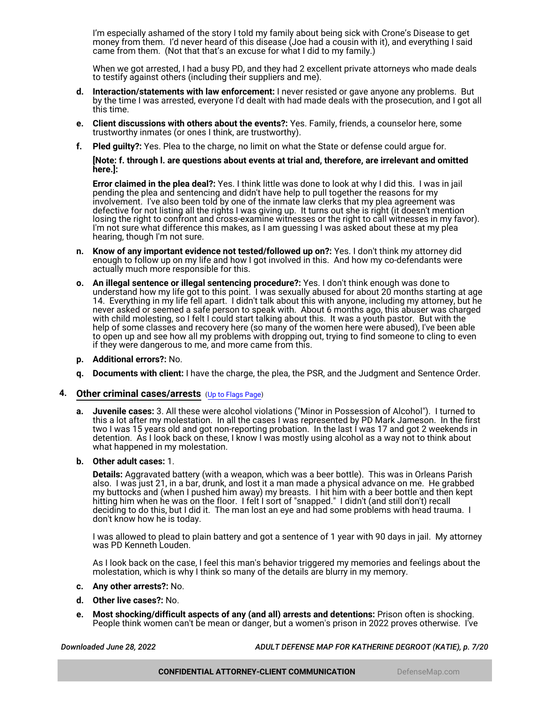I'm especially ashamed of the story I told my family about being sick with Crone's Disease to get money from them. I'd never heard of this disease (Joe had a cousin with it), and everything I said came from them. (Not that that's an excuse for what I did to my family.)

When we got arrested, I had a busy PD, and they had 2 excellent private attorneys who made deals to testify against others (including their suppliers and me).

- **d. Interaction/statements with law enforcement:** I never resisted or gave anyone any problems. But by the time I was arrested, everyone I'd dealt with had made deals with the prosecution, and I got all this time.
- **e. Client discussions with others about the events?:** Yes. Family, friends, a counselor here, some trustworthy inmates (or ones I think, are trustworthy).
- **f. Pled guilty?:** Yes. Plea to the charge, no limit on what the State or defense could argue for.

**[Note: f. through l. are questions about events at trial and, therefore, are irrelevant and omitted here.]:**

**Error claimed in the plea deal?:** Yes. I think little was done to look at why I did this. I was in jail pending the plea and sentencing and didn't have help to pull together the reasons for my involvement. I've also been told by one of the inmate law clerks that my plea agreement was defective for not listing all the rights I was giving up. It turns out she is right (it doesn't mention losing the right to confront and cross-examine witnesses or the right to call witnesses in my favor). I'm not sure what difference this makes, as I am guessing I was asked about these at my plea hearing, though I'm not sure.

- **n. Know of any important evidence not tested/followed up on?:** Yes. I don't think my attorney did enough to follow up on my life and how I got involved in this. And how my co-defendants were actually much more responsible for this.
- **o. An illegal sentence or illegal sentencing procedure?:** Yes. I don't think enough was done to understand how my life got to this point. I was sexually abused for about 20 months starting at age 14. Everything in my life fell apart. I didn't talk about this with anyone, including my attorney, but he never asked or seemed a safe person to speak with. About 6 months ago, this abuser was charged with child molesting, so I felt I could start talking about this. It was a youth pastor. But with the help of some classes and recovery here (so many of the women here were abused), I've been able to open up and see how all my problems with dropping out, trying to find someone to cling to even if they were dangerous to me, and more came from this.
- **p. Additional errors?:** No.
- **Documents with client:** I have the charge, the plea, the PSR, and the Judgment and Sentence Order.

#### <span id="page-6-0"></span>**4. Other criminal cases/arrests** ([Up to Flags Page](#page-1-0))

**a. Juvenile cases:** 3. All these were alcohol violations ("Minor in Possession of Alcohol"). I turned to this a lot after my molestation. In all the cases I was represented by PD Mark Jameson. In the first two I was 15 years old and got non-reporting probation. In the last I was 17 and got 2 weekends in detention. As I look back on these, I know I was mostly using alcohol as a way not to think about what happened in my molestation.

#### **b. Other adult cases:** 1.

**Details:** Aggravated battery (with a weapon, which was a beer bottle). This was in Orleans Parish also. I was just 21, in a bar, drunk, and lost it a man made a physical advance on me. He grabbed my buttocks and (when I pushed him away) my breasts. I hit him with a beer bottle and then kept hitting him when he was on the floor. I felt I sort of "snapped." I didn't (and still don't) recall deciding to do this, but I did it. The man lost an eye and had some problems with head trauma. I don't know how he is today.

I was allowed to plead to plain battery and got a sentence of 1 year with 90 days in jail. My attorney was PD Kenneth Louden.

As I look back on the case, I feel this man's behavior triggered my memories and feelings about the molestation, which is why I think so many of the details are blurry in my memory.

- **c. Any other arrests?:** No.
- **d. Other live cases?:** No.
- **e. Most shocking/difficult aspects of any (and all) arrests and detentions:** Prison often is shocking. People think women can't be mean or danger, but a women's prison in 2022 proves otherwise. I've

*Downloaded June 28, 2022 ADULT DEFENSE MAP FOR KATHERINE DEGROOT (KATIE), p. 7/20*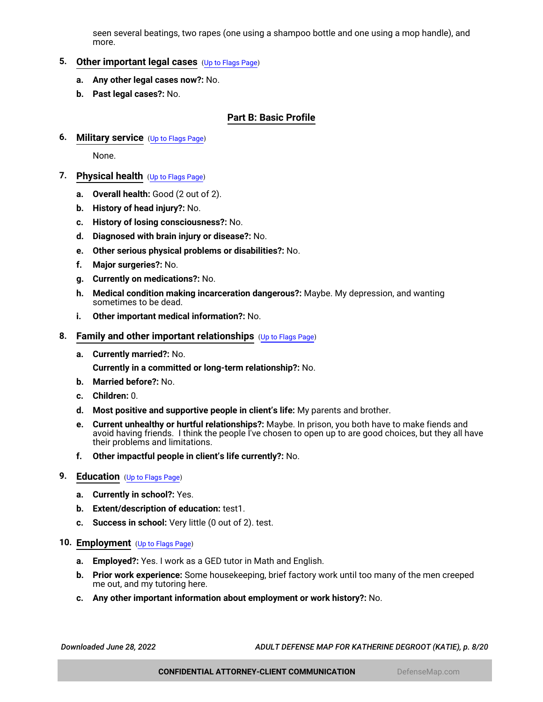seen several beatings, two rapes (one using a shampoo bottle and one using a mop handle), and more.

# <span id="page-7-0"></span>**5. Other important legal cases** ([Up to Flags Page](#page-1-0))

- **a. Any other legal cases now?:** No.
- **b. Past legal cases?:** No.

## **Part B: Basic Profile**

<span id="page-7-1"></span>**6. Military service** ([Up to Flags Page](#page-1-0))

None.

- <span id="page-7-2"></span>**7. Physical health** ([Up to Flags Page](#page-1-0))
	- **a. Overall health:** Good (2 out of 2).
	- **b. History of head injury?:** No.
	- **c. History of losing consciousness?:** No.
	- **d. Diagnosed with brain injury or disease?:** No.
	- **e. Other serious physical problems or disabilities?:** No.
	- **f. Major surgeries?:** No.
	- **g. Currently on medications?:** No.
	- **h. Medical condition making incarceration dangerous?:** Maybe. My depression, and wanting sometimes to be dead.
	- **i. Other important medical information?:** No.
- <span id="page-7-3"></span>**8. Family and other important relationships** ([Up to Flags Page](#page-1-0))
	- **a. Currently married?:** No.

**Currently in a committed or long-term relationship?:** No.

- **b. Married before?:** No.
- **c. Children:** 0.
- **d. Most positive and supportive people in client's life:** My parents and brother.
- **e. Current unhealthy or hurtful relationships?:** Maybe. In prison, you both have to make fiends and avoid having friends. I think the people I've chosen to open up to are good choices, but they all have their problems and limitations.
- **f. Other impactful people in client's life currently?:** No.

#### <span id="page-7-4"></span>**9. Education** ([Up to Flags Page](#page-1-0))

- **a. Currently in school?:** Yes.
- **b. Extent/description of education:** test1.
- **c. Success in school:** Very little (0 out of 2). test.

## <span id="page-7-5"></span>**10. Employment** ([Up to Flags Page](#page-1-0))

- **a. Employed?:** Yes. I work as a GED tutor in Math and English.
- **b. Prior work experience:** Some housekeeping, brief factory work until too many of the men creeped me out, and my tutoring here.
- **c. Any other important information about employment or work history?:** No.

*Downloaded June 28, 2022 ADULT DEFENSE MAP FOR KATHERINE DEGROOT (KATIE), p. 8/20*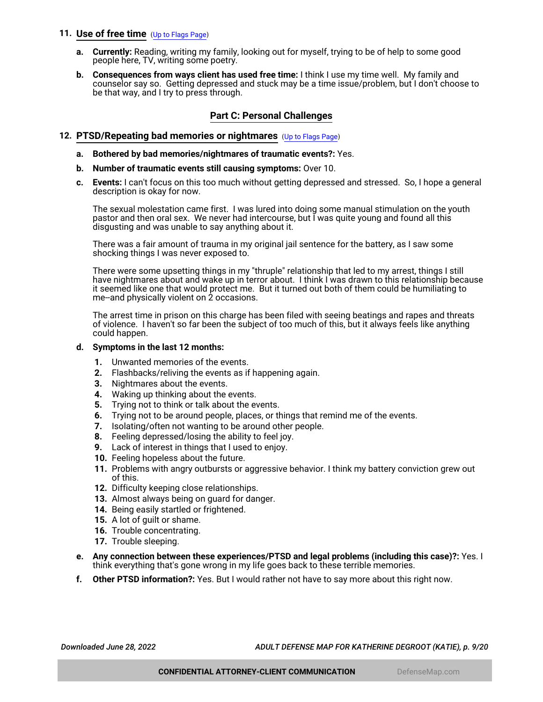## <span id="page-8-1"></span>**11. Use of free time** ([Up to Flags Page](#page-1-0))

- **a. Currently:** Reading, writing my family, looking out for myself, trying to be of help to some good people here, TV, writing some poetry.
- **b. Consequences from ways client has used free time:** I think I use my time well. My family and counselor say so. Getting depressed and stuck may be a time issue/problem, but I don't choose to be that way, and I try to press through.

## **Part C: Personal Challenges**

## <span id="page-8-0"></span>**12. PTSD/Repeating bad memories or nightmares** ([Up to Flags Page](#page-1-0))

- **a. Bothered by bad memories/nightmares of traumatic events?:** Yes.
- **b. Number of traumatic events still causing symptoms:** Over 10.
- **c. Events:** I can't focus on this too much without getting depressed and stressed. So, I hope a general description is okay for now.

The sexual molestation came first. I was lured into doing some manual stimulation on the youth pastor and then oral sex. We never had intercourse, but I was quite young and found all this disgusting and was unable to say anything about it.

There was a fair amount of trauma in my original jail sentence for the battery, as I saw some shocking things I was never exposed to.

There were some upsetting things in my "thruple" relationship that led to my arrest, things I still have nightmares about and wake up in terror about. I think I was drawn to this relationship because it seemed like one that would protect me. But it turned out both of them could be humiliating to me--and physically violent on 2 occasions.

The arrest time in prison on this charge has been filed with seeing beatings and rapes and threats of violence. I haven't so far been the subject of too much of this, but it always feels like anything could happen.

#### **d. Symptoms in the last 12 months:**

- **1.** Unwanted memories of the events.
- **2.** Flashbacks/reliving the events as if happening again.
- **3.** Nightmares about the events.
- **4.** Waking up thinking about the events.
- **5.** Trying not to think or talk about the events.
- **6.** Trying not to be around people, places, or things that remind me of the events.
- **7.** Isolating/often not wanting to be around other people.
- **8.** Feeling depressed/losing the ability to feel joy.
- **9.** Lack of interest in things that I used to enjoy.
- **10.** Feeling hopeless about the future.
- **11.** Problems with angry outbursts or aggressive behavior. I think my battery conviction grew out of this.
- **12.** Difficulty keeping close relationships.
- **13.** Almost always being on guard for danger.
- **14.** Being easily startled or frightened.
- **15.** A lot of guilt or shame.
- **16.** Trouble concentrating.
- **17.** Trouble sleeping.
- **e. Any connection between these experiences/PTSD and legal problems (including this case)?:** Yes. I think everything that's gone wrong in my life goes back to these terrible memories.
- **f. Other PTSD information?:** Yes. But I would rather not have to say more about this right now.

*Downloaded June 28, 2022 ADULT DEFENSE MAP FOR KATHERINE DEGROOT (KATIE), p. 9/20*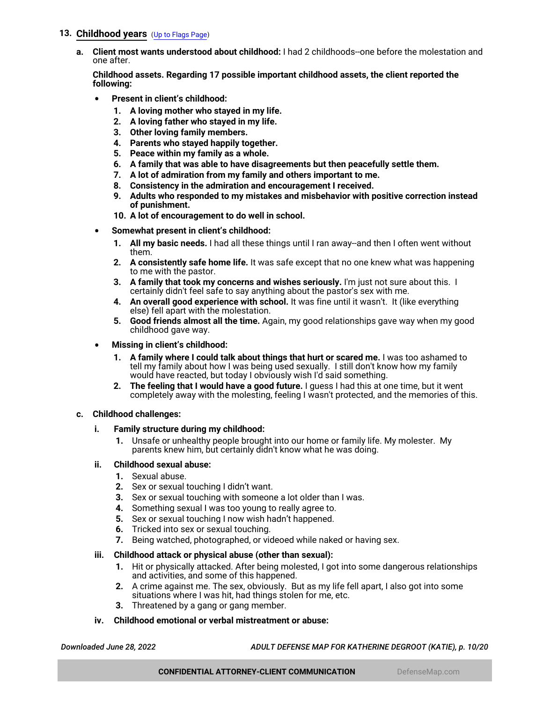## <span id="page-9-0"></span>**13. Childhood years** ([Up to Flags Page](#page-1-0))

**a. Client most wants understood about childhood:** I had 2 childhoods--one before the molestation and one after.

**Childhood assets. Regarding 17 possible important childhood assets, the client reported the following:**

- **Present in client's childhood:**
	- **1. A loving mother who stayed in my life.**
	- **2. A loving father who stayed in my life.**
	- **3. Other loving family members.**
	- **4. Parents who stayed happily together.**
	- **5. Peace within my family as a whole.**
	- **6. A family that was able to have disagreements but then peacefully settle them.**
	- **7. A lot of admiration from my family and others important to me.**
	- **8. Consistency in the admiration and encouragement I received.**
	- **9. Adults who responded to my mistakes and misbehavior with positive correction instead of punishment.**
	- **10. A lot of encouragement to do well in school.**
- **Somewhat present in client's childhood:**
	- **1. All my basic needs.** I had all these things until I ran away--and then I often went without them.
	- **2. A consistently safe home life.** It was safe except that no one knew what was happening to me with the pastor.
	- **3. A family that took my concerns and wishes seriously.** I'm just not sure about this. I certainly didn't feel safe to say anything about the pastor's sex with me.
	- **4. An overall good experience with school.** It was fine until it wasn't. It (like everything else) fell apart with the molestation.
	- **5. Good friends almost all the time.** Again, my good relationships gave way when my good childhood gave way.
- **Missing in client's childhood:**
	- **1. A family where I could talk about things that hurt or scared me.** I was too ashamed to tell my family about how I was being used sexually. I still don't know how my family would have reacted, but today I obviously wish I'd said something.
	- **2. The feeling that I would have a good future.** I guess I had this at one time, but it went completely away with the molesting, feeling I wasn't protected, and the memories of this.

#### **c. Childhood challenges:**

- **i. Family structure during my childhood:**
	- **1.** Unsafe or unhealthy people brought into our home or family life. My molester. My parents knew him, but certainly didn't know what he was doing.

#### **ii. Childhood sexual abuse:**

- **1.** Sexual abuse.
- **2.** Sex or sexual touching I didn't want.
- **3.** Sex or sexual touching with someone a lot older than I was.
- **4.** Something sexual I was too young to really agree to.
- **5.** Sex or sexual touching I now wish hadn't happened.
- **6.** Tricked into sex or sexual touching.
- **7.** Being watched, photographed, or videoed while naked or having sex.

#### **iii. Childhood attack or physical abuse (other than sexual):**

- **1.** Hit or physically attacked. After being molested, I got into some dangerous relationships and activities, and some of this happened.
- **2.** A crime against me. The sex, obviously. But as my life fell apart, I also got into some situations where I was hit, had things stolen for me, etc.
- **3.** Threatened by a gang or gang member.
- **iv. Childhood emotional or verbal mistreatment or abuse:**

*Downloaded June 28, 2022 ADULT DEFENSE MAP FOR KATHERINE DEGROOT (KATIE), p. 10/20*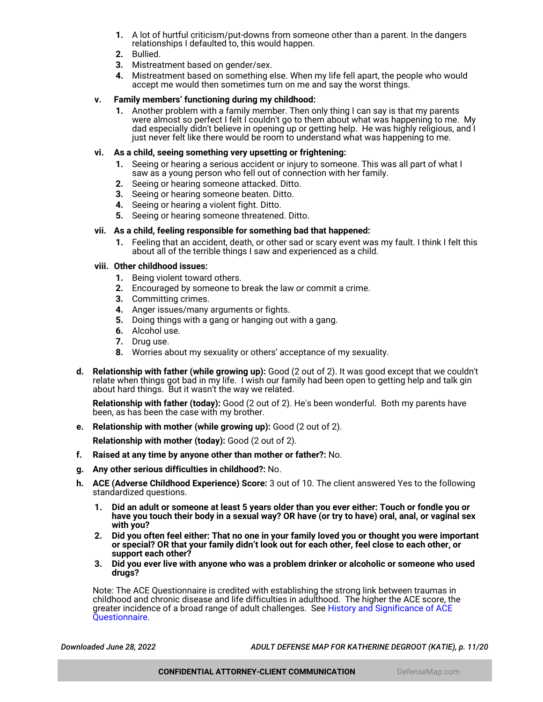- **1.** A lot of hurtful criticism/put-downs from someone other than a parent. In the dangers relationships I defaulted to, this would happen.
- **2.** Bullied.
- **3.** Mistreatment based on gender/sex.
- **4.** Mistreatment based on something else. When my life fell apart, the people who would accept me would then sometimes turn on me and say the worst things.

#### **v. Family members' functioning during my childhood:**

**1.** Another problem with a family member. Then only thing I can say is that my parents were almost so perfect I felt I couldn't go to them about what was happening to me. My dad especially didn't believe in opening up or getting help. He was highly religious, and I just never felt like there would be room to understand what was happening to me.

#### **vi. As a child, seeing something very upsetting or frightening:**

- **1.** Seeing or hearing a serious accident or injury to someone. This was all part of what I saw as a young person who fell out of connection with her family.
- **2.** Seeing or hearing someone attacked. Ditto.
- **3.** Seeing or hearing someone beaten. Ditto.
- **4.** Seeing or hearing a violent fight. Ditto.
- **5.** Seeing or hearing someone threatened. Ditto.

#### **vii. As a child, feeling responsible for something bad that happened:**

**1.** Feeling that an accident, death, or other sad or scary event was my fault. I think I felt this about all of the terrible things I saw and experienced as a child.

#### **viii. Other childhood issues:**

- **1.** Being violent toward others.
- **2.** Encouraged by someone to break the law or commit a crime.
- **3.** Committing crimes.
- **4.** Anger issues/many arguments or fights.
- **5.** Doing things with a gang or hanging out with a gang.
- **6.** Alcohol use.
- **7.** Drug use.
- **8.** Worries about my sexuality or others' acceptance of my sexuality.
- **d. Relationship with father (while growing up):** Good (2 out of 2). It was good except that we couldn't relate when things got bad in my life. I wish our family had been open to getting help and talk gin about hard things. But it wasn't the way we related.

**Relationship with father (today):** Good (2 out of 2). He's been wonderful. Both my parents have been, as has been the case with my brother.

**e. Relationship with mother (while growing up):** Good (2 out of 2).

**Relationship with mother (today):** Good (2 out of 2).

- **f. Raised at any time by anyone other than mother or father?:** No.
- **g. Any other serious difficulties in childhood?:** No.
- **h. ACE (Adverse Childhood Experience) Score:** 3 out of 10. The client answered Yes to the following standardized questions.
	- **1. Did an adult or someone at least 5 years older than you ever either: Touch or fondle you or have you touch their body in a sexual way? OR have (or try to have) oral, anal, or vaginal sex with you?**
	- **2. Did you often feel either: That no one in your family loved you or thought you were important or special? OR that your family didn't look out for each other, feel close to each other, or support each other?**
	- **3. Did you ever live with anyone who was a problem drinker or alcoholic or someone who used drugs?**

Note: The ACE Questionnaire is credited with establishing the strong link between traumas in childhood and chronic disease and life difficulties in adulthood. The higher the ACE score, the greater incidence of a broad range of adult challenges. See [History and Significance of ACE](https://www.goodtherapy.org/blog/psychpedia/ace-questionnaire) [Questionnaire](https://www.goodtherapy.org/blog/psychpedia/ace-questionnaire).

*Downloaded June 28, 2022 ADULT DEFENSE MAP FOR KATHERINE DEGROOT (KATIE), p. 11/20*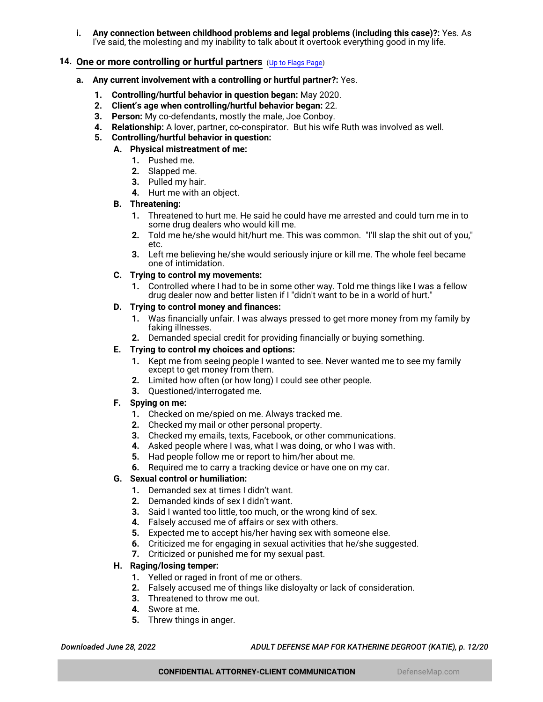**i. Any connection between childhood problems and legal problems (including this case)?:** Yes. As I've said, the molesting and my inability to talk about it overtook everything good in my life.

## <span id="page-11-0"></span>**14. One or more controlling or hurtful partners** ([Up to Flags Page](#page-1-0))

- **a. Any current involvement with a controlling or hurtful partner?:** Yes.
	- **1. Controlling/hurtful behavior in question began:** May 2020.
	- **2. Client's age when controlling/hurtful behavior began:** 22.
	- **3. Person:** My co-defendants, mostly the male, Joe Conboy.
	- **4. Relationship:** A lover, partner, co-conspirator. But his wife Ruth was involved as well.
	- **5. Controlling/hurtful behavior in question:**
		- **A. Physical mistreatment of me:**
			- **1.** Pushed me.
			- **2.** Slapped me.
			- **3.** Pulled my hair.
			- **4.** Hurt me with an object.

## **B. Threatening:**

- **1.** Threatened to hurt me. He said he could have me arrested and could turn me in to some drug dealers who would kill me.
- **2.** Told me he/she would hit/hurt me. This was common. "I'll slap the shit out of you," etc.
- **3.** Left me believing he/she would seriously injure or kill me. The whole feel became one of intimidation.

## **C. Trying to control my movements:**

**1.** Controlled where I had to be in some other way. Told me things like I was a fellow drug dealer now and better listen if I "didn't want to be in a world of hurt."

## **D. Trying to control money and finances:**

- **1.** Was financially unfair. I was always pressed to get more money from my family by faking illnesses.
- **2.** Demanded special credit for providing financially or buying something.

## **E. Trying to control my choices and options:**

- **1.** Kept me from seeing people I wanted to see. Never wanted me to see my family except to get money from them.
- **2.** Limited how often (or how long) I could see other people.
- **3.** Questioned/interrogated me.

## **F. Spying on me:**

- **1.** Checked on me/spied on me. Always tracked me.
- **2.** Checked my mail or other personal property.
- **3.** Checked my emails, texts, Facebook, or other communications.
- **4.** Asked people where I was, what I was doing, or who I was with.
- **5.** Had people follow me or report to him/her about me.
- **6.** Required me to carry a tracking device or have one on my car.

## **G. Sexual control or humiliation:**

- **1.** Demanded sex at times I didn't want.
- **2.** Demanded kinds of sex I didn't want.
- **3.** Said I wanted too little, too much, or the wrong kind of sex.
- **4.** Falsely accused me of affairs or sex with others.
- **5.** Expected me to accept his/her having sex with someone else.
- **6.** Criticized me for engaging in sexual activities that he/she suggested.
- **7.** Criticized or punished me for my sexual past.

#### **H. Raging/losing temper:**

- **1.** Yelled or raged in front of me or others.
- **2.** Falsely accused me of things like disloyalty or lack of consideration.
- **3.** Threatened to throw me out.
- **4.** Swore at me.
- **5.** Threw things in anger.

*Downloaded June 28, 2022 ADULT DEFENSE MAP FOR KATHERINE DEGROOT (KATIE), p. 12/20*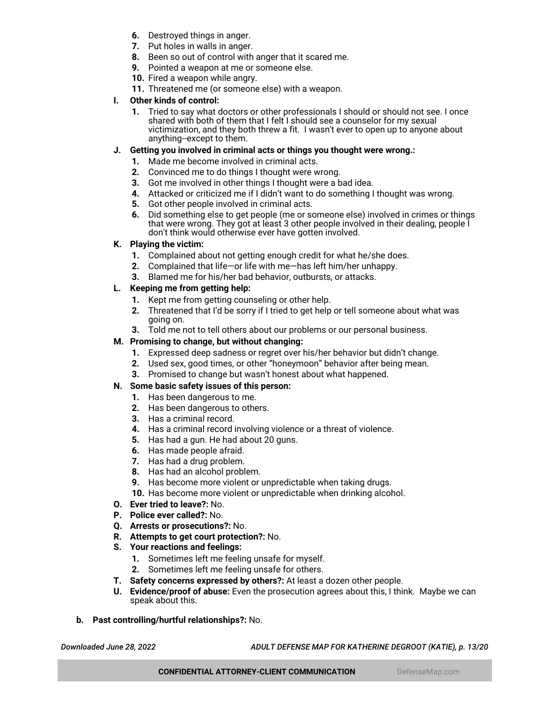- **6.** Destroyed things in anger.
- **7.** Put holes in walls in anger.
- **8.** Been so out of control with anger that it scared me.
- **9.** Pointed a weapon at me or someone else.
- **10.** Fired a weapon while angry.
- **11.** Threatened me (or someone else) with a weapon.

# **I. Other kinds of control:**

**1.** Tried to say what doctors or other professionals I should or should not see. I once shared with both of them that I felt I should see a counselor for my sexual victimization, and they both threw a fit. I wasn't ever to open up to anyone about anything--except to them.

# **J. Getting you involved in criminal acts or things you thought were wrong.:**

- **1.** Made me become involved in criminal acts.
- **2.** Convinced me to do things I thought were wrong.
- **3.** Got me involved in other things I thought were a bad idea.
- **4.** Attacked or criticized me if I didn't want to do something I thought was wrong.
- **5.** Got other people involved in criminal acts.
- **6.** Did something else to get people (me or someone else) involved in crimes or things that were wrong. They got at least 3 other people involved in their dealing, people I don't think would otherwise ever have gotten involved.

# **K. Playing the victim:**

- **1.** Complained about not getting enough credit for what he/she does.
- **2.** Complained that life—or life with me—has left him/her unhappy.
- **3.** Blamed me for his/her bad behavior, outbursts, or attacks.

# **L. Keeping me from getting help:**

- **1.** Kept me from getting counseling or other help.
- **2.** Threatened that I'd be sorry if I tried to get help or tell someone about what was going on.
- **3.** Told me not to tell others about our problems or our personal business.

# **M. Promising to change, but without changing:**

- **1.** Expressed deep sadness or regret over his/her behavior but didn't change.
- **2.** Used sex, good times, or other "honeymoon" behavior after being mean.
- **3.** Promised to change but wasn't honest about what happened.

# **N. Some basic safety issues of this person:**

- **1.** Has been dangerous to me.
- **2.** Has been dangerous to others.
- **3.** Has a criminal record.
- **4.** Has a criminal record involving violence or a threat of violence.
- **5.** Has had a gun. He had about 20 guns.
- **6.** Has made people afraid.
- **7.** Has had a drug problem.
- **8.** Has had an alcohol problem.
- **9.** Has become more violent or unpredictable when taking drugs.
- **10.** Has become more violent or unpredictable when drinking alcohol.
- **O. Ever tried to leave?:** No.
- **P. Police ever called?:** No.
- **Q. Arrests or prosecutions?:** No.
- **R. Attempts to get court protection?:** No.
- **S. Your reactions and feelings:**
	- **1.** Sometimes left me feeling unsafe for myself.
	- **2.** Sometimes left me feeling unsafe for others.
- **T. Safety concerns expressed by others?:** At least a dozen other people.
- **U. Evidence/proof of abuse:** Even the prosecution agrees about this, I think. Maybe we can speak about this.
- **b. Past controlling/hurtful relationships?:** No.

*Downloaded June 28, 2022 ADULT DEFENSE MAP FOR KATHERINE DEGROOT (KATIE), p. 13/20*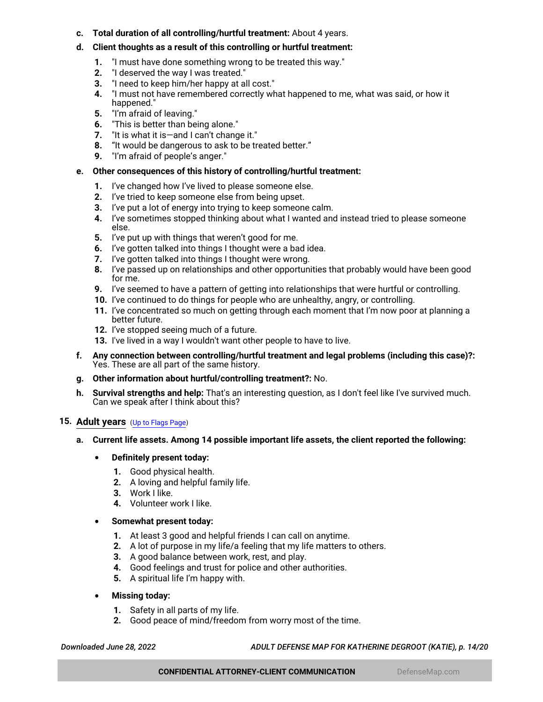- **c. Total duration of all controlling/hurtful treatment:** About 4 years.
- **d. Client thoughts as a result of this controlling or hurtful treatment:**
	- **1.** "I must have done something wrong to be treated this way."
	- **2.** "I deserved the way I was treated."
	- **3.** "I need to keep him/her happy at all cost."
	- **4.** "I must not have remembered correctly what happened to me, what was said, or how it happened."
	- **5.** "I'm afraid of leaving."
	- **6.** "This is better than being alone."
	- **7.** "It is what it is—and I can't change it."
	- **8.** "It would be dangerous to ask to be treated better."
	- **9.** "I'm afraid of people's anger."

### **e. Other consequences of this history of controlling/hurtful treatment:**

- **1.** I've changed how I've lived to please someone else.
- **2.** I've tried to keep someone else from being upset.
- **3.** I've put a lot of energy into trying to keep someone calm.
- **4.** I've sometimes stopped thinking about what I wanted and instead tried to please someone else.
- **5.** I've put up with things that weren't good for me.
- **6.** I've gotten talked into things I thought were a bad idea.
- **7.** I've gotten talked into things I thought were wrong.
- **8.** I've passed up on relationships and other opportunities that probably would have been good for me.
- **9.** I've seemed to have a pattern of getting into relationships that were hurtful or controlling.
- **10.** I've continued to do things for people who are unhealthy, angry, or controlling.
- **11.** I've concentrated so much on getting through each moment that I'm now poor at planning a better future.
- **12.** I've stopped seeing much of a future.
- **13.** I've lived in a way I wouldn't want other people to have to live.
- **f. Any connection between controlling/hurtful treatment and legal problems (including this case)?:** Yes. These are all part of the same history.
- **g. Other information about hurtful/controlling treatment?:** No.
- **h. Survival strengths and help:** That's an interesting question, as I don't feel like I've survived much. Can we speak after I think about this?

#### <span id="page-13-0"></span>**15. Adult years** ([Up to Flags Page](#page-1-0))

- **a. Current life assets. Among 14 possible important life assets, the client reported the following:**
	- **Definitely present today:**
		- **1.** Good physical health.
		- **2.** A loving and helpful family life.
		- **3.** Work I like.
		- **4.** Volunteer work I like.
	- **Somewhat present today:**
		- **1.** At least 3 good and helpful friends I can call on anytime.
		- **2.** A lot of purpose in my life/a feeling that my life matters to others.
		- **3.** A good balance between work, rest, and play.
		- **4.** Good feelings and trust for police and other authorities.
		- **5.** A spiritual life I'm happy with.
	- **Missing today:**
		- **1.** Safety in all parts of my life.
		- **2.** Good peace of mind/freedom from worry most of the time.

*Downloaded June 28, 2022 ADULT DEFENSE MAP FOR KATHERINE DEGROOT (KATIE), p. 14/20*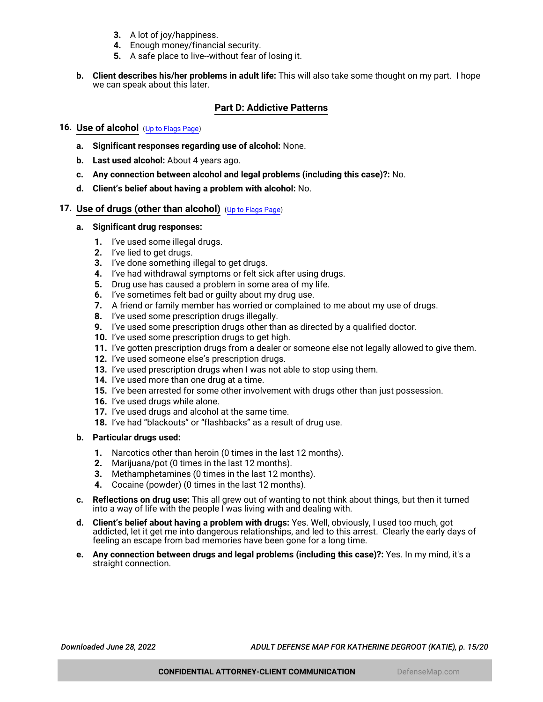- **3.** A lot of joy/happiness.
- **4.** Enough money/financial security.
- **5.** A safe place to live--without fear of losing it.
- **b. Client describes his/her problems in adult life:** This will also take some thought on my part. I hope we can speak about this later.

## **Part D: Addictive Patterns**

## <span id="page-14-1"></span>**16. Use of alcohol** ([Up to Flags Page](#page-1-0))

- **a. Significant responses regarding use of alcohol:** None.
- **b. Last used alcohol:** About 4 years ago.
- **c. Any connection between alcohol and legal problems (including this case)?:** No.
- **d. Client's belief about having a problem with alcohol:** No.

## <span id="page-14-0"></span>**17. Use of drugs (other than alcohol)** ([Up to Flags Page](#page-1-0))

#### **a. Significant drug responses:**

- **1.** I've used some illegal drugs.
- **2.** I've lied to get drugs.
- **3.** I've done something illegal to get drugs.
- **4.** I've had withdrawal symptoms or felt sick after using drugs.
- **5.** Drug use has caused a problem in some area of my life.
- **6.** I've sometimes felt bad or guilty about my drug use.
- **7.** A friend or family member has worried or complained to me about my use of drugs.
- **8.** I've used some prescription drugs illegally.
- **9.** I've used some prescription drugs other than as directed by a qualified doctor.
- **10.** I've used some prescription drugs to get high.
- **11.** I've gotten prescription drugs from a dealer or someone else not legally allowed to give them.
- **12.** I've used someone else's prescription drugs.
- **13.** I've used prescription drugs when I was not able to stop using them.
- **14.** I've used more than one drug at a time.
- **15.** I've been arrested for some other involvement with drugs other than just possession.
- **16.** I've used drugs while alone.
- **17.** I've used drugs and alcohol at the same time.
- **18.** I've had "blackouts" or "flashbacks" as a result of drug use.

#### **b. Particular drugs used:**

- **1.** Narcotics other than heroin (0 times in the last 12 months).
- **2.** Marijuana/pot (0 times in the last 12 months).
- **3.** Methamphetamines (0 times in the last 12 months).
- **4.** Cocaine (powder) (0 times in the last 12 months).
- **c. Reflections on drug use:** This all grew out of wanting to not think about things, but then it turned into a way of life with the people I was living with and dealing with.
- **d. Client's belief about having a problem with drugs:** Yes. Well, obviously, I used too much, got addicted, let it get me into dangerous relationships, and led to this arrest. Clearly the early days of feeling an escape from bad memories have been gone for a long time.
- **e. Any connection between drugs and legal problems (including this case)?:** Yes. In my mind, it's a straight connection.

*Downloaded June 28, 2022 ADULT DEFENSE MAP FOR KATHERINE DEGROOT (KATIE), p. 15/20*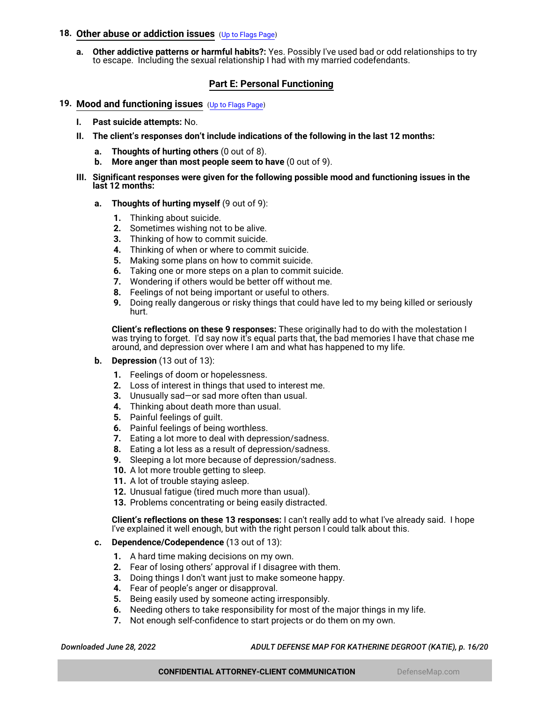## <span id="page-15-0"></span>**18. Other abuse or addiction issues** ([Up to Flags Page](#page-1-0))

**a. Other addictive patterns or harmful habits?:** Yes. Possibly I've used bad or odd relationships to try to escape. Including the sexual relationship I had with my married codefendants.

# **Part E: Personal Functioning**

- <span id="page-15-1"></span>**19. Mood and functioning issues** ([Up to Flags Page](#page-1-0))
	- **I. Past suicide attempts:** No.
	- **II. The client's responses don't include indications of the following in the last 12 months:**
		- **a. Thoughts of hurting others** (0 out of 8).
		- **b. More anger than most people seem to have** (0 out of 9).
	- **III. Significant responses were given for the following possible mood and functioning issues in the last 12 months:**
		- **a. Thoughts of hurting myself** (9 out of 9):
			- **1.** Thinking about suicide.
			- **2.** Sometimes wishing not to be alive.
			- **3.** Thinking of how to commit suicide.
			- **4.** Thinking of when or where to commit suicide.
			- **5.** Making some plans on how to commit suicide.
			- **6.** Taking one or more steps on a plan to commit suicide.
			- **7.** Wondering if others would be better off without me.
			- **8.** Feelings of not being important or useful to others.
			- **9.** Doing really dangerous or risky things that could have led to my being killed or seriously hurt.

**Client's reflections on these 9 responses:** These originally had to do with the molestation I was trying to forget. I'd say now it's equal parts that, the bad memories I have that chase me around, and depression over where I am and what has happened to my life.

- **b. Depression** (13 out of 13):
	- **1.** Feelings of doom or hopelessness.
	- **2.** Loss of interest in things that used to interest me.
	- **3.** Unusually sad—or sad more often than usual.
	- **4.** Thinking about death more than usual.
	- **5.** Painful feelings of guilt.
	- **6.** Painful feelings of being worthless.
	- **7.** Eating a lot more to deal with depression/sadness.
	- **8.** Eating a lot less as a result of depression/sadness.
	- **9.** Sleeping a lot more because of depression/sadness.
	- **10.** A lot more trouble getting to sleep.
	- **11.** A lot of trouble staying asleep.
	- **12.** Unusual fatigue (tired much more than usual).
	- **13.** Problems concentrating or being easily distracted.

**Client's reflections on these 13 responses:** I can't really add to what I've already said. I hope I've explained it well enough, but with the right person I could talk about this.

- **c. Dependence/Codependence** (13 out of 13):
	- **1.** A hard time making decisions on my own.
	- **2.** Fear of losing others' approval if I disagree with them.
	- **3.** Doing things I don't want just to make someone happy.
	- **4.** Fear of people's anger or disapproval.
	- **5.** Being easily used by someone acting irresponsibly.
	- **6.** Needing others to take responsibility for most of the major things in my life.
	- **7.** Not enough self-confidence to start projects or do them on my own.

*Downloaded June 28, 2022 ADULT DEFENSE MAP FOR KATHERINE DEGROOT (KATIE), p. 16/20*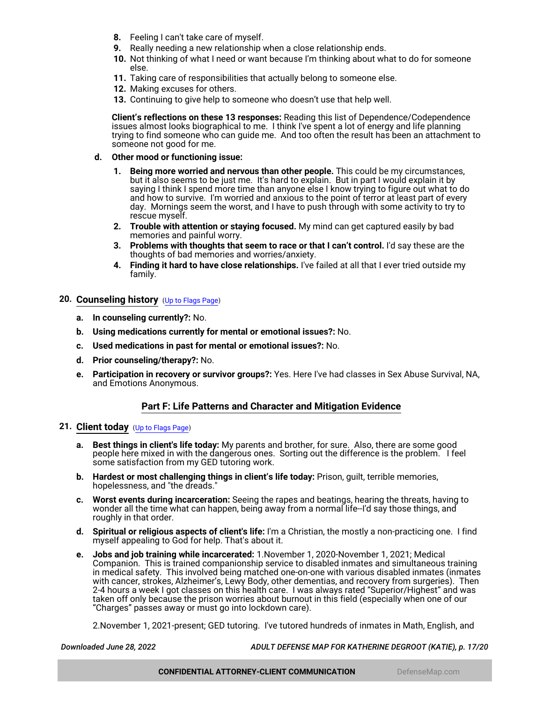- **8.** Feeling I can't take care of myself.
- **9.** Really needing a new relationship when a close relationship ends.
- **10.** Not thinking of what I need or want because I'm thinking about what to do for someone else.
- **11.** Taking care of responsibilities that actually belong to someone else.
- **12.** Making excuses for others.
- **13.** Continuing to give help to someone who doesn't use that help well.

**Client's reflections on these 13 responses:** Reading this list of Dependence/Codependence issues almost looks biographical to me. I think I've spent a lot of energy and life planning trying to find someone who can guide me. And too often the result has been an attachment to someone not good for me.

#### **d. Other mood or functioning issue:**

- **1. Being more worried and nervous than other people.** This could be my circumstances, but it also seems to be just me. It's hard to explain. But in part I would explain it by saying I think I spend more time than anyone else I know trying to figure out what to do and how to survive. I'm worried and anxious to the point of terror at least part of every day. Mornings seem the worst, and I have to push through with some activity to try to rescue myself.
- **2. Trouble with attention or staying focused.** My mind can get captured easily by bad memories and painful worry.
- **3. Problems with thoughts that seem to race or that I can't control.** I'd say these are the thoughts of bad memories and worries/anxiety.
- **4. Finding it hard to have close relationships.** I've failed at all that I ever tried outside my family.

# <span id="page-16-0"></span>**20. Counseling history** ([Up to Flags Page](#page-1-0))

- **a. In counseling currently?:** No.
- **b. Using medications currently for mental or emotional issues?:** No.
- **c. Used medications in past for mental or emotional issues?:** No.
- **d. Prior counseling/therapy?:** No.
- **e. Participation in recovery or survivor groups?:** Yes. Here I've had classes in Sex Abuse Survival, NA, and Emotions Anonymous.

#### **Part F: Life Patterns and Character and Mitigation Evidence**

## <span id="page-16-1"></span>**21. Client today** ([Up to Flags Page](#page-1-0))

- **a. Best things in client's life today:** My parents and brother, for sure. Also, there are some good people here mixed in with the dangerous ones. Sorting out the difference is the problem. I feel some satisfaction from my GED tutoring work.
- **b. Hardest or most challenging things in client's life today:** Prison, guilt, terrible memories, hopelessness, and "the dreads."
- **c. Worst events during incarceration:** Seeing the rapes and beatings, hearing the threats, having to wonder all the time what can happen, being away from a normal life--I'd say those things, and roughly in that order.
- **d. Spiritual or religious aspects of client's life:** I'm a Christian, the mostly a non-practicing one. I find myself appealing to God for help. That's about it.
- **e. Jobs and job training while incarcerated:** 1.November 1, 2020-November 1, 2021; Medical Companion. This is trained companionship service to disabled inmates and simultaneous training in medical safety. This involved being matched one-on-one with various disabled inmates (inmates with cancer, strokes, Alzheimer's, Lewy Body, other dementias, and recovery from surgeries). Then 2-4 hours a week I got classes on this health care. I was always rated "Superior/Highest" and was taken off only because the prison worries about burnout in this field (especially when one of our "Charges" passes away or must go into lockdown care).

2.November 1, 2021-present; GED tutoring. I've tutored hundreds of inmates in Math, English, and

*Downloaded June 28, 2022 ADULT DEFENSE MAP FOR KATHERINE DEGROOT (KATIE), p. 17/20*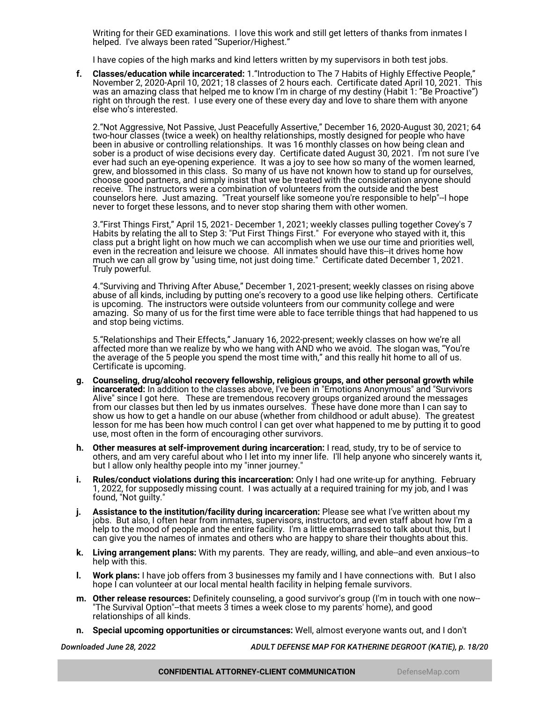Writing for their GED examinations. I love this work and still get letters of thanks from inmates I helped. I've always been rated "Superior/Highest."

I have copies of the high marks and kind letters written by my supervisors in both test jobs.

**f. Classes/education while incarcerated:** 1."Introduction to The 7 Habits of Highly Effective People," November 2, 2020-April 10, 2021; 18 classes of 2 hours each. Certificate dated April 10, 2021. This was an amazing class that helped me to know I'm in charge of my destiny (Habit 1: "Be Proactive") right on through the rest. I use every one of these every day and love to share them with anyone else who's interested.

2."Not Aggressive, Not Passive, Just Peacefully Assertive," December 16, 2020-August 30, 2021; 64 two-hour classes (twice a week) on healthy relationships, mostly designed for people who have been in abusive or controlling relationships. It was 16 monthly classes on how being clean and sober is a product of wise decisions every day. Certificate dated August 30, 2021. I'm not sure I've ever had such an eye-opening experience. It was a joy to see how so many of the women learned, grew, and blossomed in this class. So many of us have not known how to stand up for ourselves, choose good partners, and simply insist that we be treated with the consideration anyone should receive. The instructors were a combination of volunteers from the outside and the best counselors here. Just amazing. "Treat yourself like someone you're responsible to help"--I hope never to forget these lessons, and to never stop sharing them with other women.

3."First Things First," April 15, 2021- December 1, 2021; weekly classes pulling together Covey's 7 Habits by relating the all to Step 3: "Put First Things First." For everyone who stayed with it, this class put a bright light on how much we can accomplish when we use our time and priorities well, even in the recreation and leisure we choose. All inmates should have this--it drives home how much we can all grow by "using time, not just doing time." Certificate dated December 1, 2021. Truly powerful.

4."Surviving and Thriving After Abuse," December 1, 2021-present; weekly classes on rising above abuse of all kinds, including by putting one's recovery to a good use like helping others. Certificate is upcoming. The instructors were outside volunteers from our community college and were amazing. So many of us for the first time were able to face terrible things that had happened to us and stop being victims.

5."Relationships and Their Effects," January 16, 2022-present; weekly classes on how we're all affected more than we realize by who we hang with AND who we avoid. The slogan was, "You're the average of the 5 people you spend the most time with," and this really hit home to all of us. Certificate is upcoming.

- **g. Counseling, drug/alcohol recovery fellowship, religious groups, and other personal growth while incarcerated:** In addition to the classes above, I've been in "Emotions Anonymous" and "Survivors Alive" since I got here. These are tremendous recovery groups organized around the messages from our classes but then led by us inmates ourselves. These have done more than I can say to show us how to get a handle on our abuse (whether from childhood or adult abuse). The greatest lesson for me has been how much control I can get over what happened to me by putting it to good use, most often in the form of encouraging other survivors.
- **h. Other measures at self-improvement during incarceration:** I read, study, try to be of service to others, and am very careful about who I let into my inner life. I'll help anyone who sincerely wants it, but I allow only healthy people into my "inner journey."
- **i. Rules/conduct violations during this incarceration:** Only I had one write-up for anything. February 1, 2022, for supposedly missing count. I was actually at a required training for my job, and I was found, "Not guilty."
- **j. Assistance to the institution/facility during incarceration:** Please see what I've written about my jobs. But also, I often hear from inmates, supervisors, instructors, and even staff about how I'm a help to the mood of people and the entire facility. I'm a little embarrassed to talk about this, but I can give you the names of inmates and others who are happy to share their thoughts about this.
- **k. Living arrangement plans:** With my parents. They are ready, willing, and able--and even anxious--to help with this.
- **l. Work plans:** I have job offers from 3 businesses my family and I have connections with. But I also hope I can volunteer at our local mental health facility in helping female survivors.
- **m. Other release resources:** Definitely counseling, a good survivor's group (I'm in touch with one now-- "The Survival Option"--that meets 3 times a week close to my parents' home), and good relationships of all kinds.
- **n. Special upcoming opportunities or circumstances:** Well, almost everyone wants out, and I don't

*Downloaded June 28, 2022 ADULT DEFENSE MAP FOR KATHERINE DEGROOT (KATIE), p. 18/20*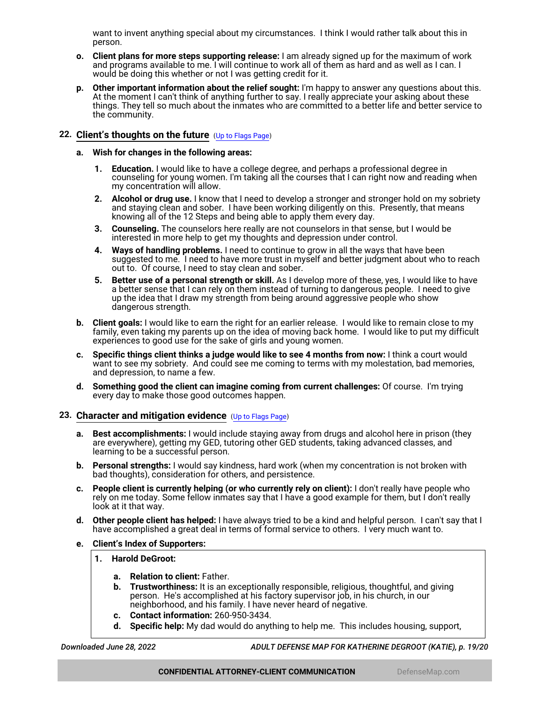want to invent anything special about my circumstances. I think I would rather talk about this in person.

- **o. Client plans for more steps supporting release:** I am already signed up for the maximum of work and programs available to me. I will continue to work all of them as hard and as well as I can. I would be doing this whether or not I was getting credit for it.
- **p. Other important information about the relief sought:** I'm happy to answer any questions about this. At the moment I can't think of anything further to say. I really appreciate your asking about these things. They tell so much about the inmates who are committed to a better life and better service to the community.

## <span id="page-18-0"></span>**22. Client's thoughts on the future** ([Up to Flags Page](#page-1-0))

- **a. Wish for changes in the following areas:**
	- **1. Education.** I would like to have a college degree, and perhaps a professional degree in counseling for young women. I'm taking all the courses that I can right now and reading when my concentration will allow.
	- **2. Alcohol or drug use.** I know that I need to develop a stronger and stronger hold on my sobriety and staying clean and sober. I have been working diligently on this. Presently, that means knowing all of the 12 Steps and being able to apply them every day.
	- **3. Counseling.** The counselors here really are not counselors in that sense, but I would be interested in more help to get my thoughts and depression under control.
	- **4. Ways of handling problems.** I need to continue to grow in all the ways that have been suggested to me. I need to have more trust in myself and better judgment about who to reach out to. Of course, I need to stay clean and sober.
	- **5. Better use of a personal strength or skill.** As I develop more of these, yes, I would like to have a better sense that I can rely on them instead of turning to dangerous people. I need to give up the idea that I draw my strength from being around aggressive people who show dangerous strength.
- **b. Client goals:** I would like to earn the right for an earlier release. I would like to remain close to my family, even taking my parents up on the idea of moving back home. I would like to put my difficult experiences to good use for the sake of girls and young women.
- **c. Specific things client thinks a judge would like to see 4 months from now:** I think a court would want to see my sobriety. And could see me coming to terms with my molestation, bad memories, and depression, to name a few.
- **d. Something good the client can imagine coming from current challenges:** Of course. I'm trying every day to make those good outcomes happen.

## <span id="page-18-1"></span>**23. Character and mitigation evidence** ([Up to Flags Page](#page-1-0))

- **a. Best accomplishments:** I would include staying away from drugs and alcohol here in prison (they are everywhere), getting my GED, tutoring other GED students, taking advanced classes, and learning to be a successful person.
- **b. Personal strengths:** I would say kindness, hard work (when my concentration is not broken with bad thoughts), consideration for others, and persistence.
- **c. People client is currently helping (or who currently rely on client):** I don't really have people who rely on me today. Some fellow inmates say that I have a good example for them, but I don't really look at it that way.
- **d. Other people client has helped:** I have always tried to be a kind and helpful person. I can't say that I have accomplished a great deal in terms of formal service to others. I very much want to.
- **e. Client's Index of Supporters:**
	- **1. Harold DeGroot:**
		- **a. Relation to client:** Father.
		- **b. Trustworthiness:** It is an exceptionally responsible, religious, thoughtful, and giving person. He's accomplished at his factory supervisor job, in his church, in our neighborhood, and his family. I have never heard of negative.
		- **c. Contact information:** 260-950-3434.
		- **d. Specific help:** My dad would do anything to help me. This includes housing, support,

*Downloaded June 28, 2022 ADULT DEFENSE MAP FOR KATHERINE DEGROOT (KATIE), p. 19/20*